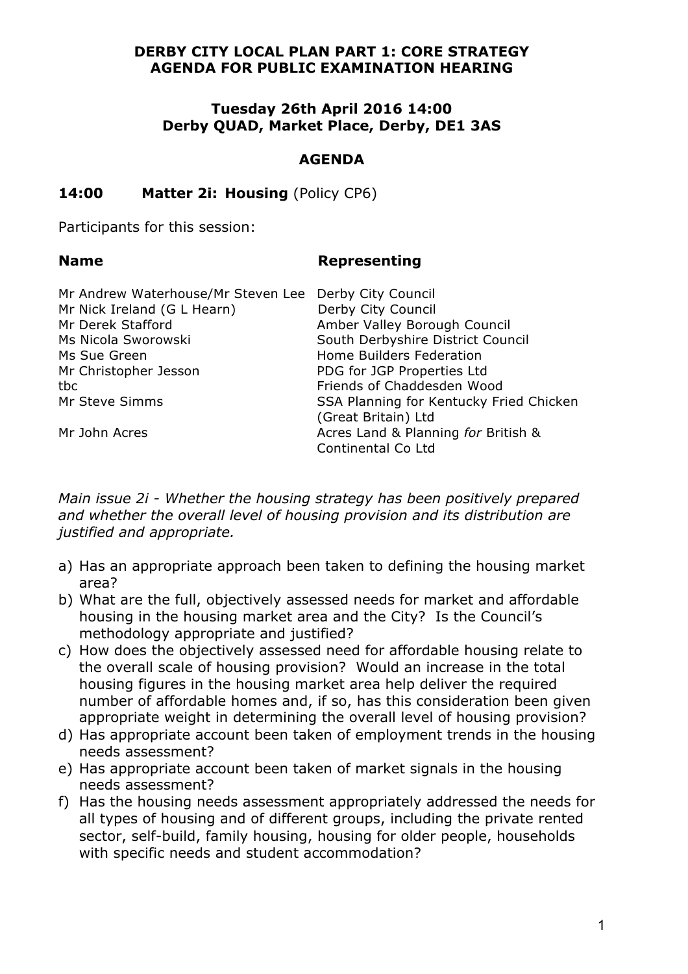### **DERBY CITY LOCAL PLAN PART 1: CORE STRATEGY AGENDA FOR PUBLIC EXAMINATION HEARING**

### **Tuesday 26th April 2016 14:00 Derby QUAD, Market Place, Derby, DE1 3AS**

## **AGENDA**

# **14:00 Matter 2i: Housing** (Policy CP6)

Participants for this session:

#### **Name Representing**

| Mr Andrew Waterhouse/Mr Steven Lee Derby City Council |                                         |
|-------------------------------------------------------|-----------------------------------------|
| Mr Nick Ireland (G L Hearn)                           | Derby City Council                      |
| Mr Derek Stafford                                     | Amber Valley Borough Council            |
| Ms Nicola Sworowski                                   | South Derbyshire District Council       |
| Ms Sue Green                                          | Home Builders Federation                |
| Mr Christopher Jesson                                 | PDG for JGP Properties Ltd              |
| tbc                                                   | Friends of Chaddesden Wood              |
| Mr Steve Simms                                        | SSA Planning for Kentucky Fried Chicken |
|                                                       | (Great Britain) Ltd                     |
| Mr John Acres                                         | Acres Land & Planning for British &     |
|                                                       | Continental Co Ltd                      |

*Main issue 2i - Whether the housing strategy has been positively prepared and whether the overall level of housing provision and its distribution are justified and appropriate.* 

- a) Has an appropriate approach been taken to defining the housing market area?
- b) What are the full, objectively assessed needs for market and affordable housing in the housing market area and the City? Is the Council's methodology appropriate and justified?
- c) How does the objectively assessed need for affordable housing relate to the overall scale of housing provision? Would an increase in the total housing figures in the housing market area help deliver the required number of affordable homes and, if so, has this consideration been given appropriate weight in determining the overall level of housing provision?
- d) Has appropriate account been taken of employment trends in the housing needs assessment?
- e) Has appropriate account been taken of market signals in the housing needs assessment?
- f) Has the housing needs assessment appropriately addressed the needs for all types of housing and of different groups, including the private rented sector, self-build, family housing, housing for older people, households with specific needs and student accommodation?